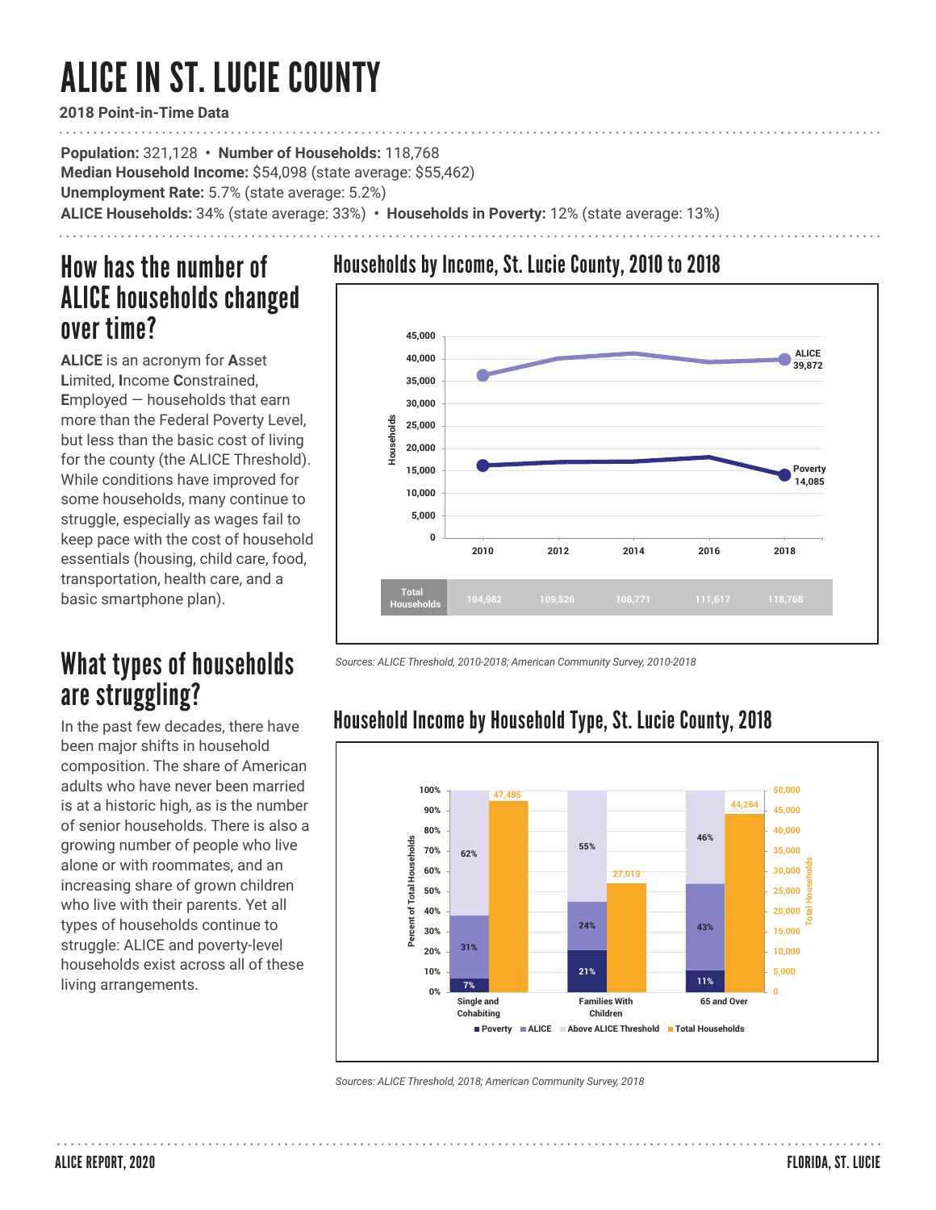# ALICE IN ST. LUCIE COUNTY

**2018 Point-in-Time Data**

**Population:** 321,128 **• Number of Households:** 118,768 **Median Household Income:** \$54,098 (state average: \$55,462) **Unemployment Rate:** 5.7% (state average: 5.2%) **ALICE Households:** 34% (state average: 33%) **• Households in Poverty:** 12% (state average: 13%)

# How has the number of ALICE households changed over time?

**ALICE** is an acronym for **A**sset **L**imited, **I**ncome **C**onstrained, **E**mployed — households that earn more than the Federal Poverty Level, but less than the basic cost of living for the county (the ALICE Threshold). While conditions have improved for some households, many continue to struggle, especially as wages fail to keep pace with the cost of household essentials (housing, child care, food, transportation, health care, and a basic smartphone plan).

# What types of households are struggling?

In the past few decades, there have been major shifts in household composition. The share of American adults who have never been married is at a historic high, as is the number of senior households. There is also a growing number of people who live alone or with roommates, and an increasing share of grown children who live with their parents. Yet all types of households continue to struggle: ALICE and poverty-level households exist across all of these living arrangements.

### Households by Income, St. Lucie County, 2010 to 2018



*Sources: ALICE Threshold, 2010-2018; American Community Survey, 2010-2018* 



## Household Income by Household Type, St. Lucie County, 2018

*Sources: ALICE Threshold, 2018; American Community Survey, 2018*